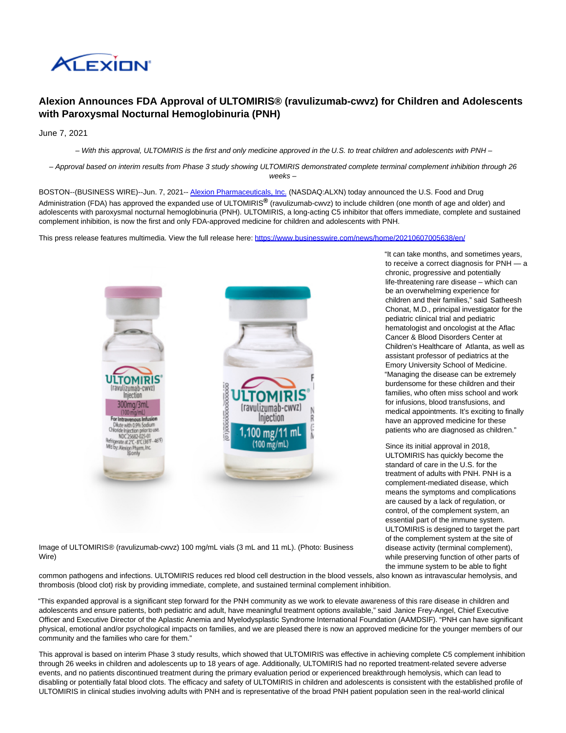

# **Alexion Announces FDA Approval of ULTOMIRIS® (ravulizumab-cwvz) for Children and Adolescents with Paroxysmal Nocturnal Hemoglobinuria (PNH)**

June 7, 2021

– With this approval, ULTOMIRIS is the first and only medicine approved in the U.S. to treat children and adolescents with PNH –

– Approval based on interim results from Phase 3 study showing ULTOMIRIS demonstrated complete terminal complement inhibition through 26

weeks –

BOSTON--(BUSINESS WIRE)--Jun. 7, 2021-- [Alexion Pharmaceuticals, Inc. \(](https://cts.businesswire.com/ct/CT?id=smartlink&url=http%3A%2F%2Fwww.Alexion.com&esheet=52438916&newsitemid=20210607005638&lan=en-US&anchor=Alexion+Pharmaceuticals%2C+Inc.&index=1&md5=05f333336ecc7f127c1e74ba210a7076)NASDAQ:ALXN) today announced the U.S. Food and Drug Administration (FDA) has approved the expanded use of ULTOMIRIS**®** (ravulizumab-cwvz) to include children (one month of age and older) and adolescents with paroxysmal nocturnal hemoglobinuria (PNH). ULTOMIRIS, a long-acting C5 inhibitor that offers immediate, complete and sustained complement inhibition, is now the first and only FDA-approved medicine for children and adolescents with PNH.

This press release features multimedia. View the full release here:<https://www.businesswire.com/news/home/20210607005638/en/>



"It can take months, and sometimes years, to receive a correct diagnosis for PNH — a chronic, progressive and potentially life-threatening rare disease – which can be an overwhelming experience for children and their families," said Satheesh Chonat, M.D., principal investigator for the pediatric clinical trial and pediatric hematologist and oncologist at the Aflac Cancer & Blood Disorders Center at Children's Healthcare of Atlanta, as well as assistant professor of pediatrics at the Emory University School of Medicine. "Managing the disease can be extremely burdensome for these children and their families, who often miss school and work for infusions, blood transfusions, and medical appointments. It's exciting to finally have an approved medicine for these patients who are diagnosed as children."

Since its initial approval in 2018, ULTOMIRIS has quickly become the standard of care in the U.S. for the treatment of adults with PNH. PNH is a complement-mediated disease, which means the symptoms and complications are caused by a lack of regulation, or control, of the complement system, an essential part of the immune system. ULTOMIRIS is designed to target the part of the complement system at the site of disease activity (terminal complement), while preserving function of other parts of the immune system to be able to fight

Image of ULTOMIRIS® (ravulizumab-cwvz) 100 mg/mL vials (3 mL and 11 mL). (Photo: Business Wire)

common pathogens and infections. ULTOMIRIS reduces red blood cell destruction in the blood vessels, also known as intravascular hemolysis, and thrombosis (blood clot) risk by providing immediate, complete, and sustained terminal complement inhibition.

"This expanded approval is a significant step forward for the PNH community as we work to elevate awareness of this rare disease in children and adolescents and ensure patients, both pediatric and adult, have meaningful treatment options available," said Janice Frey-Angel, Chief Executive Officer and Executive Director of the Aplastic Anemia and Myelodysplastic Syndrome International Foundation (AAMDSIF). "PNH can have significant physical, emotional and/or psychological impacts on families, and we are pleased there is now an approved medicine for the younger members of our community and the families who care for them."

This approval is based on interim Phase 3 study results, which showed that ULTOMIRIS was effective in achieving complete C5 complement inhibition through 26 weeks in children and adolescents up to 18 years of age. Additionally, ULTOMIRIS had no reported treatment-related severe adverse events, and no patients discontinued treatment during the primary evaluation period or experienced breakthrough hemolysis, which can lead to disabling or potentially fatal blood clots. The efficacy and safety of ULTOMIRIS in children and adolescents is consistent with the established profile of ULTOMIRIS in clinical studies involving adults with PNH and is representative of the broad PNH patient population seen in the real-world clinical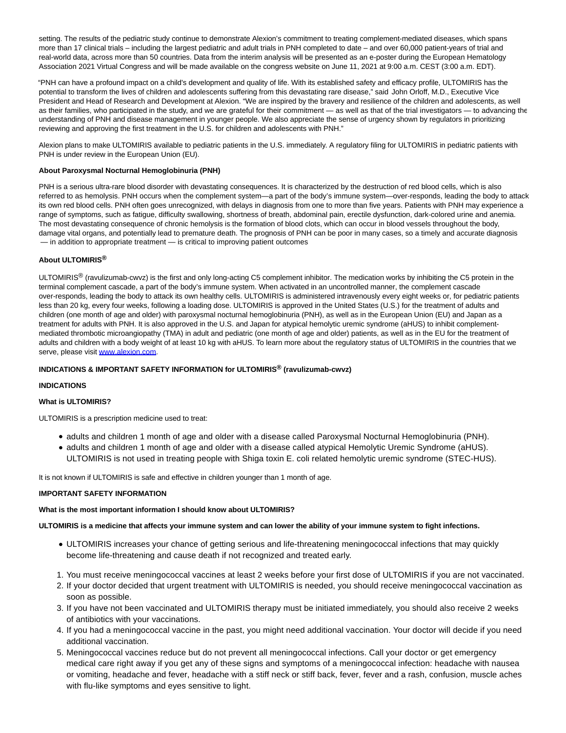setting. The results of the pediatric study continue to demonstrate Alexion's commitment to treating complement-mediated diseases, which spans more than 17 clinical trials – including the largest pediatric and adult trials in PNH completed to date – and over 60,000 patient-years of trial and real-world data, across more than 50 countries. Data from the interim analysis will be presented as an e-poster during the European Hematology Association 2021 Virtual Congress and will be made available on the congress website on June 11, 2021 at 9:00 a.m. CEST (3:00 a.m. EDT).

"PNH can have a profound impact on a child's development and quality of life. With its established safety and efficacy profile, ULTOMIRIS has the potential to transform the lives of children and adolescents suffering from this devastating rare disease," said John Orloff, M.D., Executive Vice President and Head of Research and Development at Alexion. "We are inspired by the bravery and resilience of the children and adolescents, as well as their families, who participated in the study, and we are grateful for their commitment — as well as that of the trial investigators — to advancing the understanding of PNH and disease management in younger people. We also appreciate the sense of urgency shown by regulators in prioritizing reviewing and approving the first treatment in the U.S. for children and adolescents with PNH."

Alexion plans to make ULTOMIRIS available to pediatric patients in the U.S. immediately. A regulatory filing for ULTOMIRIS in pediatric patients with PNH is under review in the European Union (EU).

# **About Paroxysmal Nocturnal Hemoglobinuria (PNH)**

PNH is a serious ultra-rare blood disorder with devastating consequences. It is characterized by the destruction of red blood cells, which is also referred to as hemolysis. PNH occurs when the complement system—a part of the body's immune system—over-responds, leading the body to attack its own red blood cells. PNH often goes unrecognized, with delays in diagnosis from one to more than five years. Patients with PNH may experience a range of symptoms, such as fatigue, difficulty swallowing, shortness of breath, abdominal pain, erectile dysfunction, dark-colored urine and anemia. The most devastating consequence of chronic hemolysis is the formation of blood clots, which can occur in blood vessels throughout the body, damage vital organs, and potentially lead to premature death. The prognosis of PNH can be poor in many cases, so a timely and accurate diagnosis — in addition to appropriate treatment — is critical to improving patient outcomes.

# **About ULTOMIRIS®**

ULTOMIRIS<sup>®</sup> (ravulizumab-cwvz) is the first and only long-acting C5 complement inhibitor. The medication works by inhibiting the C5 protein in the terminal complement cascade, a part of the body's immune system. When activated in an uncontrolled manner, the complement cascade over-responds, leading the body to attack its own healthy cells. ULTOMIRIS is administered intravenously every eight weeks or, for pediatric patients less than 20 kg, every four weeks, following a loading dose. ULTOMIRIS is approved in the United States (U.S.) for the treatment of adults and children (one month of age and older) with paroxysmal nocturnal hemoglobinuria (PNH), as well as in the European Union (EU) and Japan as a treatment for adults with PNH. It is also approved in the U.S. and Japan for atypical hemolytic uremic syndrome (aHUS) to inhibit complementmediated thrombotic microangiopathy (TMA) in adult and pediatric (one month of age and older) patients, as well as in the EU for the treatment of adults and children with a body weight of at least 10 kg with aHUS. To learn more about the regulatory status of ULTOMIRIS in the countries that we serve, please visi[t www.alexion.com.](https://cts.businesswire.com/ct/CT?id=smartlink&url=http%3A%2F%2Fwww.alexion.com&esheet=52438916&newsitemid=20210607005638&lan=en-US&anchor=www.alexion.com&index=2&md5=d76cd3f07d993b607ee83635ca2a9f44)

# **INDICATIONS & IMPORTANT SAFETY INFORMATION for ULTOMIRIS® (ravulizumab-cwvz)**

## **INDICATIONS**

# **What is ULTOMIRIS?**

ULTOMIRIS is a prescription medicine used to treat:

- adults and children 1 month of age and older with a disease called Paroxysmal Nocturnal Hemoglobinuria (PNH).
- adults and children 1 month of age and older with a disease called atypical Hemolytic Uremic Syndrome (aHUS). ULTOMIRIS is not used in treating people with Shiga toxin E. coli related hemolytic uremic syndrome (STEC-HUS).

It is not known if ULTOMIRIS is safe and effective in children younger than 1 month of age.

## **IMPORTANT SAFETY INFORMATION**

## **What is the most important information I should know about ULTOMIRIS?**

## **ULTOMIRIS is a medicine that affects your immune system and can lower the ability of your immune system to fight infections.**

- ULTOMIRIS increases your chance of getting serious and life-threatening meningococcal infections that may quickly become life-threatening and cause death if not recognized and treated early.
- 1. You must receive meningococcal vaccines at least 2 weeks before your first dose of ULTOMIRIS if you are not vaccinated.
- 2. If your doctor decided that urgent treatment with ULTOMIRIS is needed, you should receive meningococcal vaccination as soon as possible.
- If you have not been vaccinated and ULTOMIRIS therapy must be initiated immediately, you should also receive 2 weeks 3. of antibiotics with your vaccinations.
- If you had a meningococcal vaccine in the past, you might need additional vaccination. Your doctor will decide if you need 4. additional vaccination.
- Meningococcal vaccines reduce but do not prevent all meningococcal infections. Call your doctor or get emergency 5. medical care right away if you get any of these signs and symptoms of a meningococcal infection: headache with nausea or vomiting, headache and fever, headache with a stiff neck or stiff back, fever, fever and a rash, confusion, muscle aches with flu-like symptoms and eyes sensitive to light.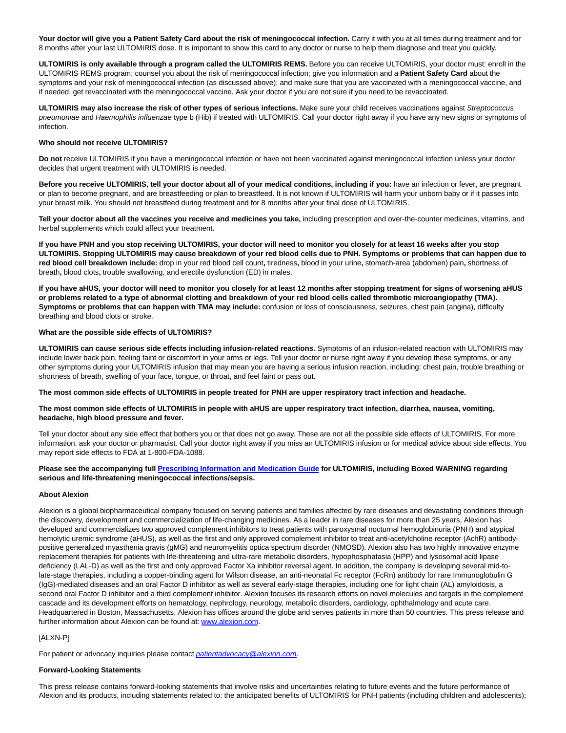**Your doctor will give you a Patient Safety Card about the risk of meningococcal infection.** Carry it with you at all times during treatment and for 8 months after your last ULTOMIRIS dose. It is important to show this card to any doctor or nurse to help them diagnose and treat you quickly.

**ULTOMIRIS is only available through a program called the ULTOMIRIS REMS.** Before you can receive ULTOMIRIS, your doctor must: enroll in the ULTOMIRIS REMS program; counsel you about the risk of meningococcal infection; give you information and a **Patient Safety Card** about the symptoms and your risk of meningococcal infection (as discussed above); and make sure that you are vaccinated with a meningococcal vaccine, and if needed, get revaccinated with the meningococcal vaccine. Ask your doctor if you are not sure if you need to be revaccinated.

**ULTOMIRIS may also increase the risk of other types of serious infections.** Make sure your child receives vaccinations against Streptococcus pneumoniae and Haemophilis influenzae type b (Hib) if treated with ULTOMIRIS. Call your doctor right away if you have any new signs or symptoms of infection.

#### **Who should not receive ULTOMIRIS?**

**Do not** receive ULTOMIRIS if you have a meningococcal infection or have not been vaccinated against meningococcal infection unless your doctor decides that urgent treatment with ULTOMIRIS is needed.

**Before you receive ULTOMIRIS, tell your doctor about all of your medical conditions, including if you:** have an infection or fever, are pregnant or plan to become pregnant, and are breastfeeding or plan to breastfeed. It is not known if ULTOMIRIS will harm your unborn baby or if it passes into your breast milk. You should not breastfeed during treatment and for 8 months after your final dose of ULTOMIRIS.

**Tell your doctor about all the vaccines you receive and medicines you take,** including prescription and over-the-counter medicines, vitamins, and herbal supplements which could affect your treatment.

**If you have PNH and you stop receiving ULTOMIRIS, your doctor will need to monitor you closely for at least 16 weeks after you stop ULTOMIRIS. Stopping ULTOMIRIS may cause breakdown of your red blood cells due to PNH. Symptoms or problems that can happen due to red blood cell breakdown include:** drop in your red blood cell count**,** tiredness**,** blood in your urine**,** stomach-area (abdomen) pain**,** shortness of breath**,** blood clots**,** trouble swallowing, and erectile dysfunction (ED) in males.

**If you have aHUS, your doctor will need to monitor you closely for at least 12 months after stopping treatment for signs of worsening aHUS or problems related to a type of abnormal clotting and breakdown of your red blood cells called thrombotic microangiopathy (TMA). Symptoms or problems that can happen with TMA may include:** confusion or loss of consciousness, seizures, chest pain (angina), difficulty breathing and blood clots or stroke.

## **What are the possible side effects of ULTOMIRIS?**

**ULTOMIRIS can cause serious side effects including infusion-related reactions.** Symptoms of an infusion-related reaction with ULTOMIRIS may include lower back pain, feeling faint or discomfort in your arms or legs. Tell your doctor or nurse right away if you develop these symptoms, or any other symptoms during your ULTOMIRIS infusion that may mean you are having a serious infusion reaction, including: chest pain, trouble breathing or shortness of breath, swelling of your face, tongue, or throat, and feel faint or pass out.

#### **The most common side effects of ULTOMIRIS in people treated for PNH are upper respiratory tract infection and headache.**

#### **The most common side effects of ULTOMIRIS in people with aHUS are upper respiratory tract infection, diarrhea, nausea, vomiting, headache, high blood pressure and fever.**

Tell your doctor about any side effect that bothers you or that does not go away. These are not all the possible side effects of ULTOMIRIS. For more information, ask your doctor or pharmacist. Call your doctor right away if you miss an ULTOMIRIS infusion or for medical advice about side effects. You may report side effects to FDA at 1-800-FDA-1088.

# **Please see the accompanying full [Prescribing Information and Medication Guide f](https://cts.businesswire.com/ct/CT?id=smartlink&url=https%3A%2F%2Falexion.com%2FDocuments%2Fultomiris_uspi&esheet=52438916&newsitemid=20210607005638&lan=en-US&anchor=Prescribing+Information+and+Medication+Guide&index=3&md5=3fd981ed808f5b51ea05d1651e337030)or ULTOMIRIS, including Boxed WARNING regarding serious and life-threatening meningococcal infections/sepsis.**

## **About Alexion**

Alexion is a global biopharmaceutical company focused on serving patients and families affected by rare diseases and devastating conditions through the discovery, development and commercialization of life-changing medicines. As a leader in rare diseases for more than 25 years, Alexion has developed and commercializes two approved complement inhibitors to treat patients with paroxysmal nocturnal hemoglobinuria (PNH) and atypical hemolytic uremic syndrome (aHUS), as well as the first and only approved complement inhibitor to treat anti-acetylcholine receptor (AchR) antibodypositive generalized myasthenia gravis (gMG) and neuromyelitis optica spectrum disorder (NMOSD). Alexion also has two highly innovative enzyme replacement therapies for patients with life-threatening and ultra-rare metabolic disorders, hypophosphatasia (HPP) and lysosomal acid lipase deficiency (LAL-D) as well as the first and only approved Factor Xa inhibitor reversal agent. In addition, the company is developing several mid-tolate-stage therapies, including a copper-binding agent for Wilson disease, an anti-neonatal Fc receptor (FcRn) antibody for rare Immunoglobulin G (IgG)-mediated diseases and an oral Factor D inhibitor as well as several early-stage therapies, including one for light chain (AL) amyloidosis, a second oral Factor D inhibitor and a third complement inhibitor. Alexion focuses its research efforts on novel molecules and targets in the complement cascade and its development efforts on hematology, nephrology, neurology, metabolic disorders, cardiology, ophthalmology and acute care. Headquartered in Boston, Massachusetts, Alexion has offices around the globe and serves patients in more than 50 countries. This press release and further information about Alexion can be found at: [www.alexion.com.](https://cts.businesswire.com/ct/CT?id=smartlink&url=http%3A%2F%2Fwww.alexion.com&esheet=52438916&newsitemid=20210607005638&lan=en-US&anchor=www.alexion.com&index=4&md5=acb4bb2c068f5ff1d54833b9d2db782d)

## [ALXN-P]

For patient or advocacy inquiries please contact *[patientadvocacy@alexion.com](mailto:patientadvocacy@alexion.com)*.

#### **Forward-Looking Statements**

This press release contains forward-looking statements that involve risks and uncertainties relating to future events and the future performance of Alexion and its products, including statements related to: the anticipated benefits of ULTOMIRIS for PNH patients (including children and adolescents);